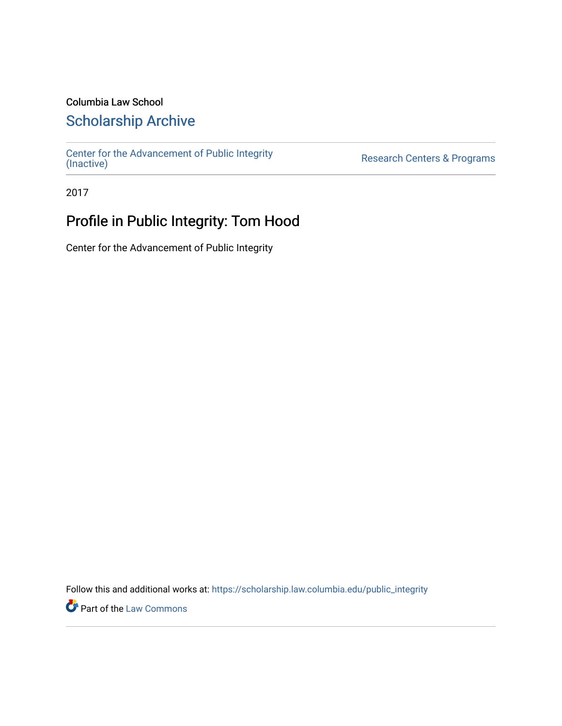### Columbia Law School

### [Scholarship Archive](https://scholarship.law.columbia.edu/)

[Center for the Advancement of Public Integrity](https://scholarship.law.columbia.edu/public_integrity)<br>(Inactive)

Research Centers & Programs

2017

## Profile in Public Integrity: Tom Hood

Center for the Advancement of Public Integrity

Follow this and additional works at: [https://scholarship.law.columbia.edu/public\\_integrity](https://scholarship.law.columbia.edu/public_integrity?utm_source=scholarship.law.columbia.edu%2Fpublic_integrity%2F63&utm_medium=PDF&utm_campaign=PDFCoverPages)

**Part of the [Law Commons](http://network.bepress.com/hgg/discipline/578?utm_source=scholarship.law.columbia.edu%2Fpublic_integrity%2F63&utm_medium=PDF&utm_campaign=PDFCoverPages)**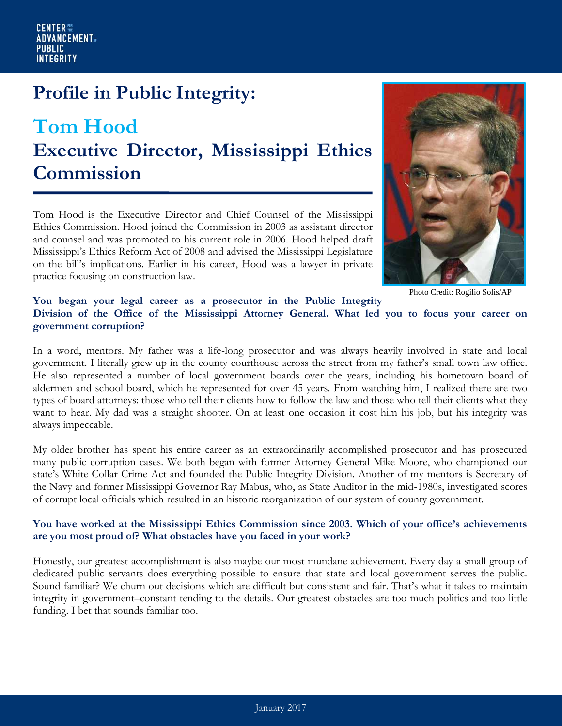## **Profile in Public Integrity:**

# **Tom Hood Executive Director, Mississippi Ethics Commission**

Tom Hood is the Executive Director and Chief Counsel of the Mississippi Ethics Commission. Hood joined the Commission in 2003 as assistant director and counsel and was promoted to his current role in 2006. Hood helped draft Mississippi's Ethics Reform Act of 2008 and advised the Mississippi Legislature on the bill's implications. Earlier in his career, Hood was a lawyer in private practice focusing on construction law.



Photo Credit: Rogilio Solis/AP

#### **You began your legal career as a prosecutor in the Public Integrity Division of the Office of the Mississippi Attorney General. What led you to focus your career on government corruption?**

In a word, mentors. My father was a life-long prosecutor and was always heavily involved in state and local government. I literally grew up in the county courthouse across the street from my father's small town law office. He also represented a number of local government boards over the years, including his hometown board of aldermen and school board, which he represented for over 45 years. From watching him, I realized there are two types of board attorneys: those who tell their clients how to follow the law and those who tell their clients what they want to hear. My dad was a straight shooter. On at least one occasion it cost him his job, but his integrity was always impeccable.

My older brother has spent his entire career as an extraordinarily accomplished prosecutor and has prosecuted many public corruption cases. We both began with former Attorney General Mike Moore, who championed our state's White Collar Crime Act and founded the Public Integrity Division. Another of my mentors is Secretary of the Navy and former Mississippi Governor Ray Mabus, who, as State Auditor in the mid-1980s, investigated scores of corrupt local officials which resulted in an historic reorganization of our system of county government.

#### **You have worked at the Mississippi Ethics Commission since 2003. Which of your office's achievements are you most proud of? What obstacles have you faced in your work?**

Honestly, our greatest accomplishment is also maybe our most mundane achievement. Every day a small group of dedicated public servants does everything possible to ensure that state and local government serves the public. Sound familiar? We churn out decisions which are difficult but consistent and fair. That's what it takes to maintain integrity in government–constant tending to the details. Our greatest obstacles are too much politics and too little funding. I bet that sounds familiar too.